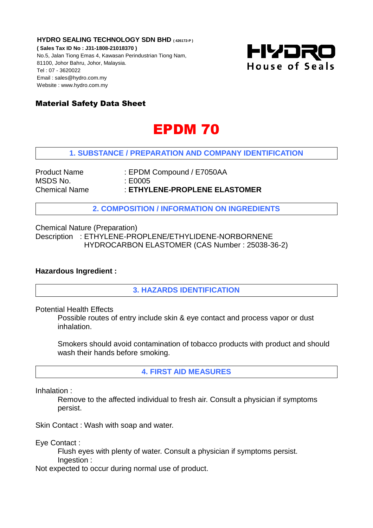**HYDRO SEALING TECHNOLOGY SDN BHD ( 426172-P )**

**( Sales Tax ID No : J31-1808-21018370 )** No.5, Jalan Tiong Emas 4, Kawasan Perindustrian Tiong Nam, 81100, Johor Bahru, Johor, Malaysia. Tel : 07 - 3620022 Email : sales@hydro.com.my Website : www.hydro.com.my



# Material Safety Data Sheet

# EPDM 70

## **1. SUBSTANCE / PREPARATION AND COMPANY IDENTIFICATION**

MSDS No. : E0005

Product Name : EPDM Compound / E7050AA Chemical Name : **ETHYLENE-PROPLENE ELASTOMER**

**2. COMPOSITION / INFORMATION ON INGREDIENTS**

Chemical Nature (Preparation) Description : ETHYLENE-PROPLENE/ETHYLIDENE-NORBORNENE HYDROCARBON ELASTOMER (CAS Number : 25038-36-2)

#### **Hazardous Ingredient :**

**3. HAZARDS IDENTIFICATION**

Potential Health Effects

Possible routes of entry include skin & eye contact and process vapor or dust inhalation.

Smokers should avoid contamination of tobacco products with product and should wash their hands before smoking.

**4. FIRST AID MEASURES**

Inhalation :

Remove to the affected individual to fresh air. Consult a physician if symptoms persist.

Skin Contact : Wash with soap and water.

Eye Contact :

Flush eyes with plenty of water. Consult a physician if symptoms persist. Ingestion :

Not expected to occur during normal use of product.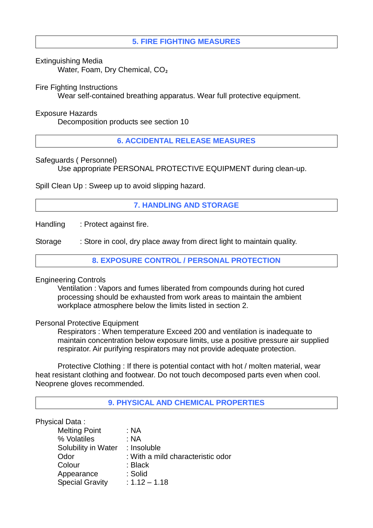## **5. FIRE FIGHTING MEASURES**

Extinguishing Media

Water, Foam, Dry Chemical, CO<sub>2</sub>

#### Fire Fighting Instructions

Wear self-contained breathing apparatus. Wear full protective equipment.

#### Exposure Hazards

Decomposition products see section 10

**6. ACCIDENTAL RELEASE MEASURES**

#### Safeguards ( Personnel)

Use appropriate PERSONAL PROTECTIVE EQUIPMENT during clean-up.

Spill Clean Up : Sweep up to avoid slipping hazard.

## **7. HANDLING AND STORAGE**

Handling : Protect against fire.

Storage : Store in cool, dry place away from direct light to maintain quality.

**8. EXPOSURE CONTROL / PERSONAL PROTECTION**

#### Engineering Controls

Ventilation : Vapors and fumes liberated from compounds during hot cured processing should be exhausted from work areas to maintain the ambient workplace atmosphere below the limits listed in section 2.

#### Personal Protective Equipment

Respirators : When temperature Exceed 200 and ventilation is inadequate to maintain concentration below exposure limits, use a positive pressure air supplied respirator. Air purifying respirators may not provide adequate protection.

Protective Clothing : If there is potential contact with hot / molten material, wear heat resistant clothing and footwear. Do not touch decomposed parts even when cool. Neoprene gloves recommended.

#### **9. PHYSICAL AND CHEMICAL PROPERTIES**

#### Physical Data :

| <b>Melting Point</b>   | : NA                              |
|------------------------|-----------------------------------|
| % Volatiles            | : NA                              |
| Solubility in Water    | : Insoluble                       |
| Odor                   | : With a mild characteristic odor |
| Colour                 | : Black                           |
| Appearance             | : Solid                           |
| <b>Special Gravity</b> | $: 1.12 - 1.18$                   |
|                        |                                   |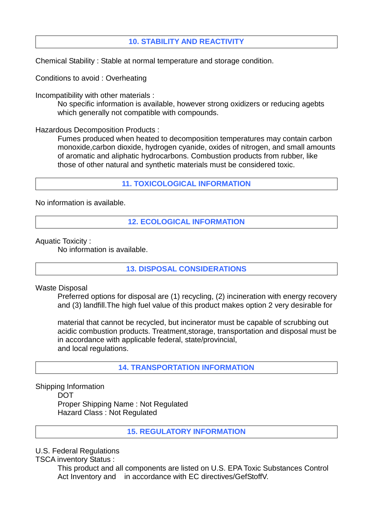## **10. STABILITY AND REACTIVITY**

Chemical Stability : Stable at normal temperature and storage condition.

Conditions to avoid : Overheating

Incompatibility with other materials :

No specific information is available, however strong oxidizers or reducing agebts which generally not compatible with compounds.

Hazardous Decomposition Products :

Fumes produced when heated to decomposition temperatures may contain carbon monoxide,carbon dioxide, hydrogen cyanide, oxides of nitrogen, and small amounts of aromatic and aliphatic hydrocarbons. Combustion products from rubber, like those of other natural and synthetic materials must be considered toxic.

**11. TOXICOLOGICAL INFORMATION**

No information is available.

**12. ECOLOGICAL INFORMATION**

Aquatic Toxicity :

No information is available.

**13. DISPOSAL CONSIDERATIONS**

Waste Disposal

Preferred options for disposal are (1) recycling, (2) incineration with energy recovery and (3) landfill.The high fuel value of this product makes option 2 very desirable for

material that cannot be recycled, but incinerator must be capable of scrubbing out acidic combustion products. Treatment,storage, transportation and disposal must be in accordance with applicable federal, state/provincial, and local regulations.

**14. TRANSPORTATION INFORMATION**

Shipping Information **DOT** Proper Shipping Name : Not Regulated Hazard Class : Not Regulated

**15. REGULATORY INFORMATION**

U.S. Federal Regulations

TSCA inventory Status :

This product and all components are listed on U.S. EPA Toxic Substances Control Act Inventory and in accordance with EC directives/GefStoffV.